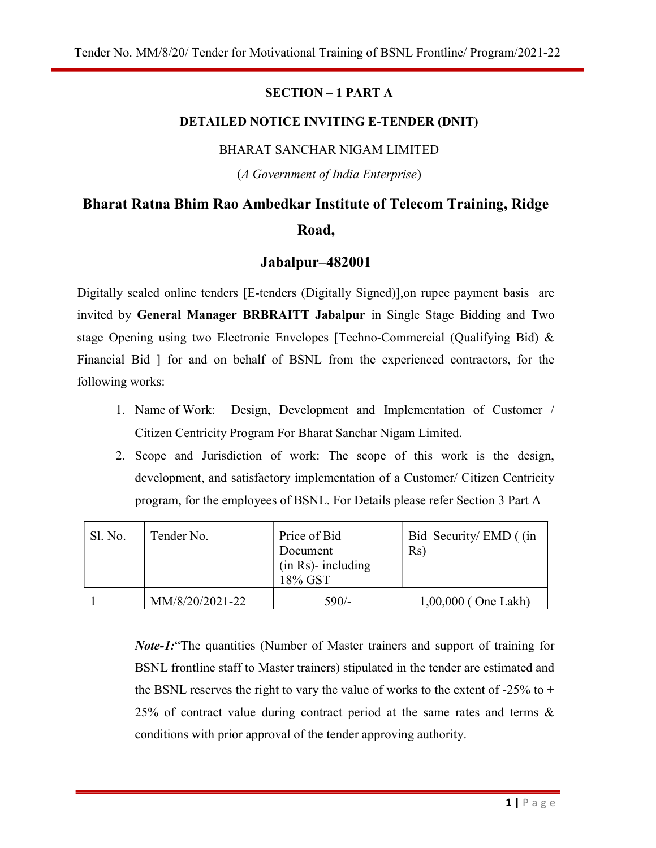#### SECTION – 1 PART A

#### DETAILED NOTICE INVITING E-TENDER (DNIT)

#### BHARAT SANCHAR NIGAM LIMITED

(A Government of India Enterprise)

# Bharat Ratna Bhim Rao Ambedkar Institute of Telecom Training, Ridge Road,

## Jabalpur–482001

Digitally sealed online tenders [E-tenders (Digitally Signed)],on rupee payment basis are invited by General Manager BRBRAITT Jabalpur in Single Stage Bidding and Two stage Opening using two Electronic Envelopes [Techno-Commercial (Qualifying Bid) & Financial Bid ] for and on behalf of BSNL from the experienced contractors, for the following works:

- 1. Name of Work: Design, Development and Implementation of Customer / Citizen Centricity Program For Bharat Sanchar Nigam Limited.
- 2. Scope and Jurisdiction of work: The scope of this work is the design, development, and satisfactory implementation of a Customer/ Citizen Centricity program, for the employees of BSNL. For Details please refer Section 3 Part A

| Sl. No. | Tender No.      | Price of Bid<br>Document<br>$(in Rs)$ - including<br>18% GST | Bid Security/EMD ((in<br>Rs) |
|---------|-----------------|--------------------------------------------------------------|------------------------------|
|         | MM/8/20/2021-22 | $590/-$                                                      | $1,00,000$ (One Lakh)        |

Note-1:"The quantities (Number of Master trainers and support of training for BSNL frontline staff to Master trainers) stipulated in the tender are estimated and the BSNL reserves the right to vary the value of works to the extent of  $-25\%$  to  $+$ 25% of contract value during contract period at the same rates and terms  $\&$ conditions with prior approval of the tender approving authority.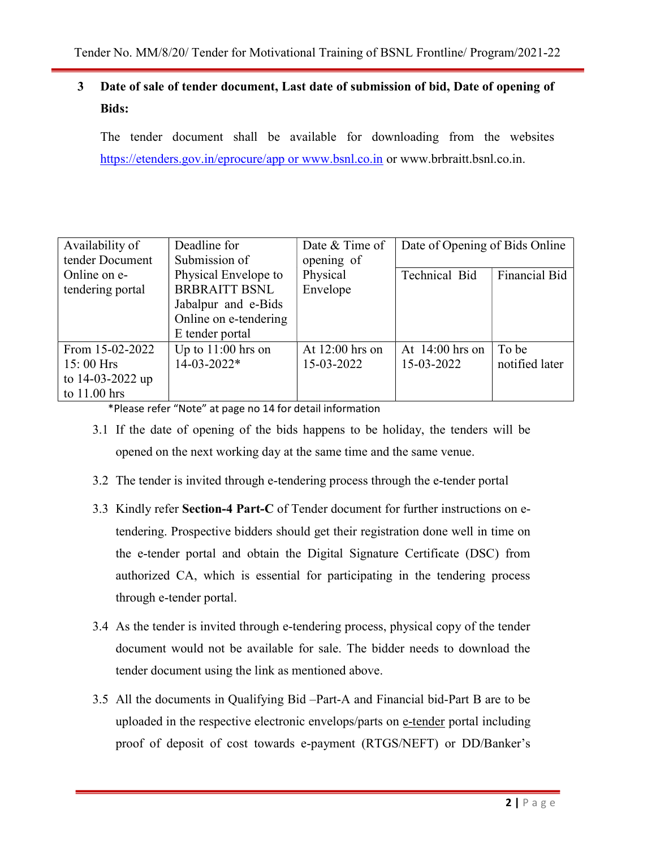# 3 Date of sale of tender document, Last date of submission of bid, Date of opening of Bids:

The tender document shall be available for downloading from the websites https://etenders.gov.in/eprocure/app or www.bsnl.co.in or www.brbraitt.bsnl.co.in.

| Availability of  | Deadline for          | Date & Time of    | Date of Opening of Bids Online |                      |
|------------------|-----------------------|-------------------|--------------------------------|----------------------|
| tender Document  | Submission of         | opening of        |                                |                      |
| Online on e-     | Physical Envelope to  | Physical          | Technical Bid                  | <b>Financial Bid</b> |
| tendering portal | <b>BRBRAITT BSNL</b>  | Envelope          |                                |                      |
|                  | Jabalpur and e-Bids   |                   |                                |                      |
|                  | Online on e-tendering |                   |                                |                      |
|                  | E tender portal       |                   |                                |                      |
| From 15-02-2022  | Up to $11:00$ hrs on  | At $12:00$ hrs on | At $14:00$ hrs on              | To be                |
| $15:00$ Hrs      | 14-03-2022*           | 15-03-2022        | 15-03-2022                     | notified later       |
| to 14-03-2022 up |                       |                   |                                |                      |
| to $11.00$ hrs   |                       |                   |                                |                      |

\*Please refer "Note" at page no 14 for detail information

- 3.1 If the date of opening of the bids happens to be holiday, the tenders will be opened on the next working day at the same time and the same venue.
- 3.2 The tender is invited through e-tendering process through the e-tender portal
- 3.3 Kindly refer Section-4 Part-C of Tender document for further instructions on etendering. Prospective bidders should get their registration done well in time on the e-tender portal and obtain the Digital Signature Certificate (DSC) from authorized CA, which is essential for participating in the tendering process through e-tender portal.
- 3.4 As the tender is invited through e-tendering process, physical copy of the tender document would not be available for sale. The bidder needs to download the tender document using the link as mentioned above.
- 3.5 All the documents in Qualifying Bid –Part-A and Financial bid-Part B are to be uploaded in the respective electronic envelops/parts on e-tender portal including proof of deposit of cost towards e-payment (RTGS/NEFT) or DD/Banker's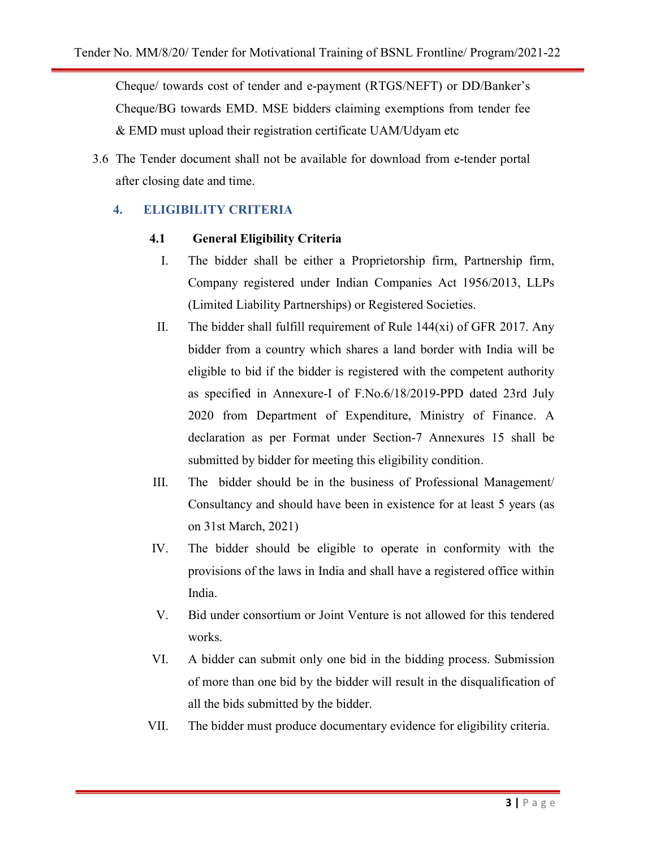Cheque/ towards cost of tender and e-payment (RTGS/NEFT) or DD/Banker's Cheque/BG towards EMD. MSE bidders claiming exemptions from tender fee & EMD must upload their registration certificate UAM/Udyam etc

3.6 The Tender document shall not be available for download from e-tender portal after closing date and time.

### 4. ELIGIBILITY CRITERIA

#### 4.1 General Eligibility Criteria

- I. The bidder shall be either a Proprietorship firm, Partnership firm, Company registered under Indian Companies Act 1956/2013, LLPs (Limited Liability Partnerships) or Registered Societies.
- II. The bidder shall fulfill requirement of Rule 144(xi) of GFR 2017. Any bidder from a country which shares a land border with India will be eligible to bid if the bidder is registered with the competent authority as specified in Annexure-I of F.No.6/18/2019-PPD dated 23rd July 2020 from Department of Expenditure, Ministry of Finance. A declaration as per Format under Section-7 Annexures 15 shall be submitted by bidder for meeting this eligibility condition.
- III. The bidder should be in the business of Professional Management/ Consultancy and should have been in existence for at least 5 years (as on 31st March, 2021)
- IV. The bidder should be eligible to operate in conformity with the provisions of the laws in India and shall have a registered office within India.
- V. Bid under consortium or Joint Venture is not allowed for this tendered works.
- VI. A bidder can submit only one bid in the bidding process. Submission of more than one bid by the bidder will result in the disqualification of all the bids submitted by the bidder.
- VII. The bidder must produce documentary evidence for eligibility criteria.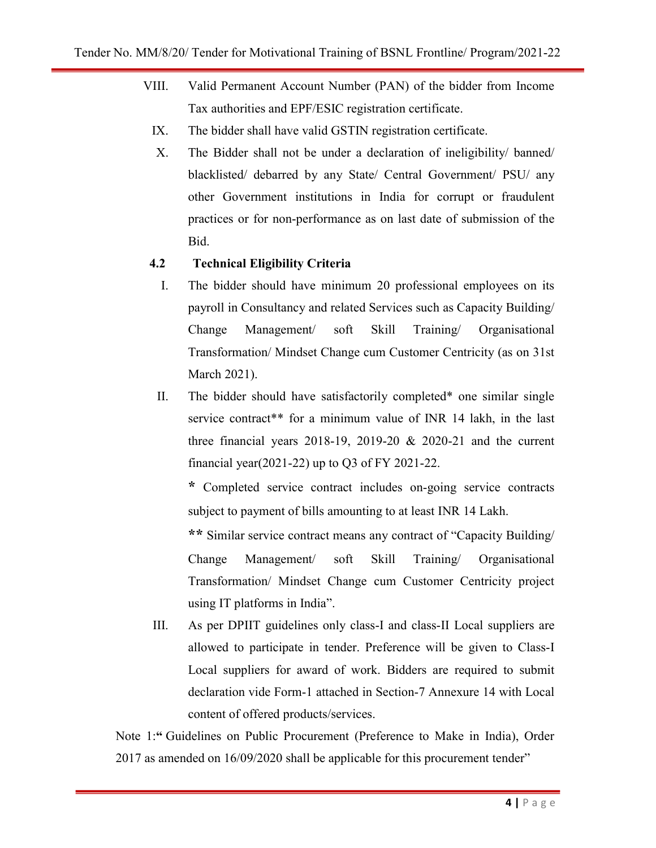- VIII. Valid Permanent Account Number (PAN) of the bidder from Income Tax authorities and EPF/ESIC registration certificate.
	- IX. The bidder shall have valid GSTIN registration certificate.
	- X. The Bidder shall not be under a declaration of ineligibility/ banned/ blacklisted/ debarred by any State/ Central Government/ PSU/ any other Government institutions in India for corrupt or fraudulent practices or for non-performance as on last date of submission of the Bid.

#### 4.2 Technical Eligibility Criteria

- I. The bidder should have minimum 20 professional employees on its payroll in Consultancy and related Services such as Capacity Building/ Change Management/ soft Skill Training/ Organisational Transformation/ Mindset Change cum Customer Centricity (as on 31st March 2021).
- II. The bidder should have satisfactorily completed\* one similar single service contract\*\* for a minimum value of INR 14 lakh, in the last three financial years  $2018-19$ ,  $2019-20$  &  $2020-21$  and the current financial year(2021-22) up to Q3 of FY 2021-22.

\* Completed service contract includes on-going service contracts subject to payment of bills amounting to at least INR 14 Lakh.

\*\* Similar service contract means any contract of "Capacity Building/ Change Management/ soft Skill Training/ Organisational Transformation/ Mindset Change cum Customer Centricity project using IT platforms in India".

III. As per DPIIT guidelines only class-I and class-II Local suppliers are allowed to participate in tender. Preference will be given to Class-I Local suppliers for award of work. Bidders are required to submit declaration vide Form-1 attached in Section-7 Annexure 14 with Local content of offered products/services.

Note 1:" Guidelines on Public Procurement (Preference to Make in India), Order 2017 as amended on 16/09/2020 shall be applicable for this procurement tender"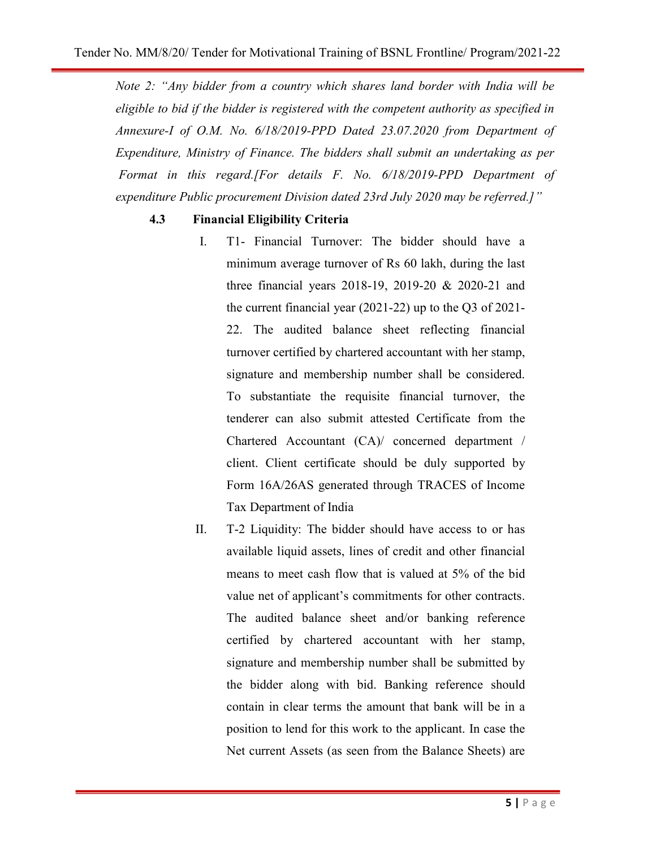Note 2: "Any bidder from a country which shares land border with India will be eligible to bid if the bidder is registered with the competent authority as specified in Annexure-I of O.M. No. 6/18/2019-PPD Dated 23.07.2020 from Department of Expenditure, Ministry of Finance. The bidders shall submit an undertaking as per Format in this regard.[For details F. No. 6/18/2019-PPD Department of expenditure Public procurement Division dated 23rd July 2020 may be referred.]"

#### 4.3 Financial Eligibility Criteria

- I. T1- Financial Turnover: The bidder should have a minimum average turnover of Rs 60 lakh, during the last three financial years 2018-19, 2019-20 & 2020-21 and the current financial year (2021-22) up to the Q3 of 2021- 22. The audited balance sheet reflecting financial turnover certified by chartered accountant with her stamp, signature and membership number shall be considered. To substantiate the requisite financial turnover, the tenderer can also submit attested Certificate from the Chartered Accountant (CA)/ concerned department / client. Client certificate should be duly supported by Form 16A/26AS generated through TRACES of Income Tax Department of India
- II. T-2 Liquidity: The bidder should have access to or has available liquid assets, lines of credit and other financial means to meet cash flow that is valued at 5% of the bid value net of applicant's commitments for other contracts. The audited balance sheet and/or banking reference certified by chartered accountant with her stamp, signature and membership number shall be submitted by the bidder along with bid. Banking reference should contain in clear terms the amount that bank will be in a position to lend for this work to the applicant. In case the Net current Assets (as seen from the Balance Sheets) are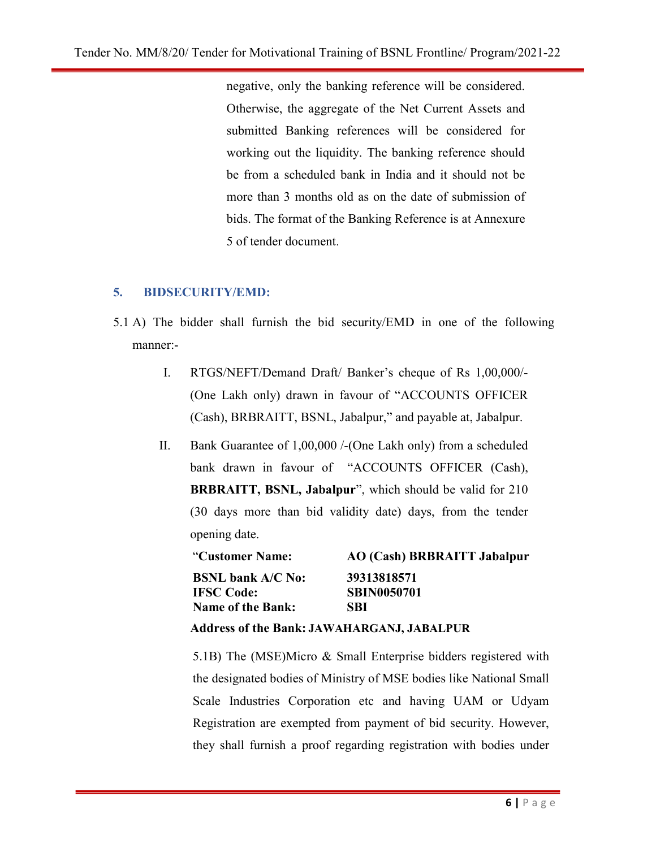negative, only the banking reference will be considered. Otherwise, the aggregate of the Net Current Assets and submitted Banking references will be considered for working out the liquidity. The banking reference should be from a scheduled bank in India and it should not be more than 3 months old as on the date of submission of bids. The format of the Banking Reference is at Annexure 5 of tender document.

#### 5. BIDSECURITY/EMD:

- 5.1 A) The bidder shall furnish the bid security/EMD in one of the following manner:-
	- I. RTGS/NEFT/Demand Draft/ Banker's cheque of Rs 1,00,000/- (One Lakh only) drawn in favour of "ACCOUNTS OFFICER (Cash), BRBRAITT, BSNL, Jabalpur," and payable at, Jabalpur.
	- II. Bank Guarantee of 1,00,000 /-(One Lakh only) from a scheduled bank drawn in favour of "ACCOUNTS OFFICER (Cash), BRBRAITT, BSNL, Jabalpur", which should be valid for 210 (30 days more than bid validity date) days, from the tender opening date.

| "Customer Name:          | AO (Cash) BRBRAITT Jabalpur |  |
|--------------------------|-----------------------------|--|
| <b>BSNL bank A/C No:</b> | 39313818571                 |  |
| <b>IFSC Code:</b>        | <b>SBIN0050701</b>          |  |
| <b>Name of the Bank:</b> | SBI                         |  |
|                          |                             |  |

#### Address of the Bank: JAWAHARGANJ, JABALPUR

5.1B) The (MSE)Micro & Small Enterprise bidders registered with the designated bodies of Ministry of MSE bodies like National Small Scale Industries Corporation etc and having UAM or Udyam Registration are exempted from payment of bid security. However, they shall furnish a proof regarding registration with bodies under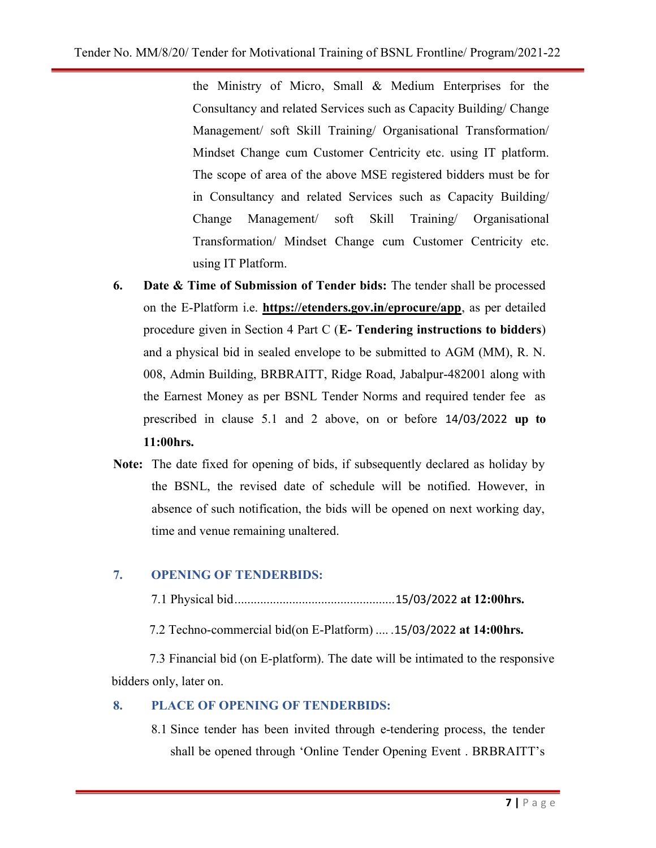the Ministry of Micro, Small & Medium Enterprises for the Consultancy and related Services such as Capacity Building/ Change Management/ soft Skill Training/ Organisational Transformation/ Mindset Change cum Customer Centricity etc. using IT platform. The scope of area of the above MSE registered bidders must be for in Consultancy and related Services such as Capacity Building/ Change Management/ soft Skill Training/ Organisational Transformation/ Mindset Change cum Customer Centricity etc. using IT Platform.

- 6. Date & Time of Submission of Tender bids: The tender shall be processed on the E-Platform i.e. https://etenders.gov.in/eprocure/app, as per detailed procedure given in Section 4 Part C (E- Tendering instructions to bidders) and a physical bid in sealed envelope to be submitted to AGM (MM), R. N. 008, Admin Building, BRBRAITT, Ridge Road, Jabalpur-482001 along with the Earnest Money as per BSNL Tender Norms and required tender fee as prescribed in clause 5.1 and 2 above, on or before 14/03/2022 up to 11:00hrs.
- Note: The date fixed for opening of bids, if subsequently declared as holiday by the BSNL, the revised date of schedule will be notified. However, in absence of such notification, the bids will be opened on next working day, time and venue remaining unaltered.

# 7. OPENING OF TENDERBIDS:

7.1 Physical bid .................................................. 15/03/2022 at 12:00hrs.

7.2 Techno-commercial bid(on E-Platform) .... .15/03/2022 at 14:00hrs.

 7.3 Financial bid (on E-platform). The date will be intimated to the responsive bidders only, later on.

#### 8. PLACE OF OPENING OF TENDERBIDS:

8.1 Since tender has been invited through e-tendering process, the tender shall be opened through 'Online Tender Opening Event . BRBRAITT's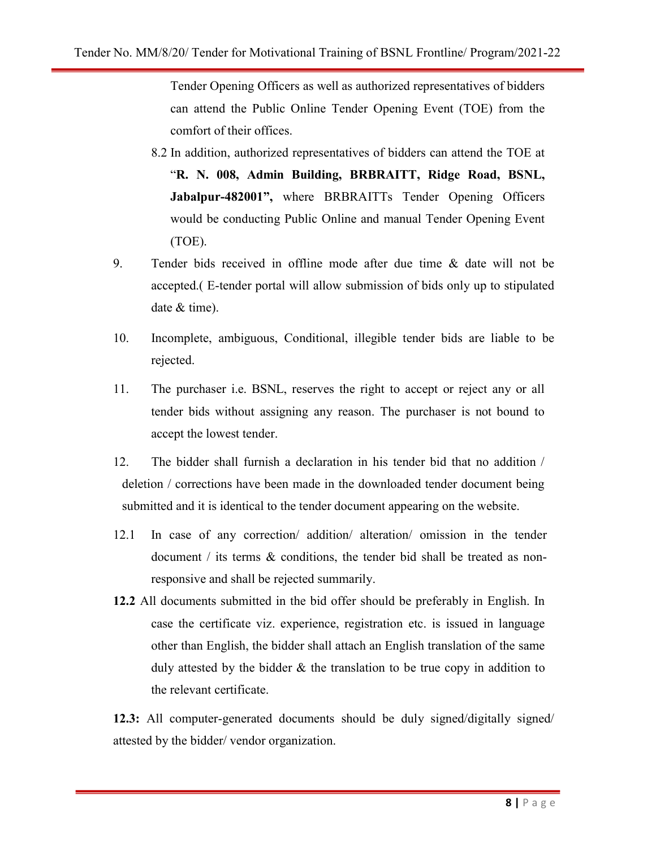Tender Opening Officers as well as authorized representatives of bidders can attend the Public Online Tender Opening Event (TOE) from the comfort of their offices.

- 8.2 In addition, authorized representatives of bidders can attend the TOE at "R. N. 008, Admin Building, BRBRAITT, Ridge Road, BSNL, Jabalpur-482001", where BRBRAITTs Tender Opening Officers would be conducting Public Online and manual Tender Opening Event (TOE).
- 9. Tender bids received in offline mode after due time & date will not be accepted.( E-tender portal will allow submission of bids only up to stipulated date & time).
- 10. Incomplete, ambiguous, Conditional, illegible tender bids are liable to be rejected.
- 11. The purchaser i.e. BSNL, reserves the right to accept or reject any or all tender bids without assigning any reason. The purchaser is not bound to accept the lowest tender.
- 12. The bidder shall furnish a declaration in his tender bid that no addition / deletion / corrections have been made in the downloaded tender document being submitted and it is identical to the tender document appearing on the website.
- 12.1 In case of any correction/ addition/ alteration/ omission in the tender document / its terms & conditions, the tender bid shall be treated as nonresponsive and shall be rejected summarily.
- 12.2 All documents submitted in the bid offer should be preferably in English. In case the certificate viz. experience, registration etc. is issued in language other than English, the bidder shall attach an English translation of the same duly attested by the bidder & the translation to be true copy in addition to the relevant certificate.

12.3: All computer-generated documents should be duly signed/digitally signed/ attested by the bidder/ vendor organization.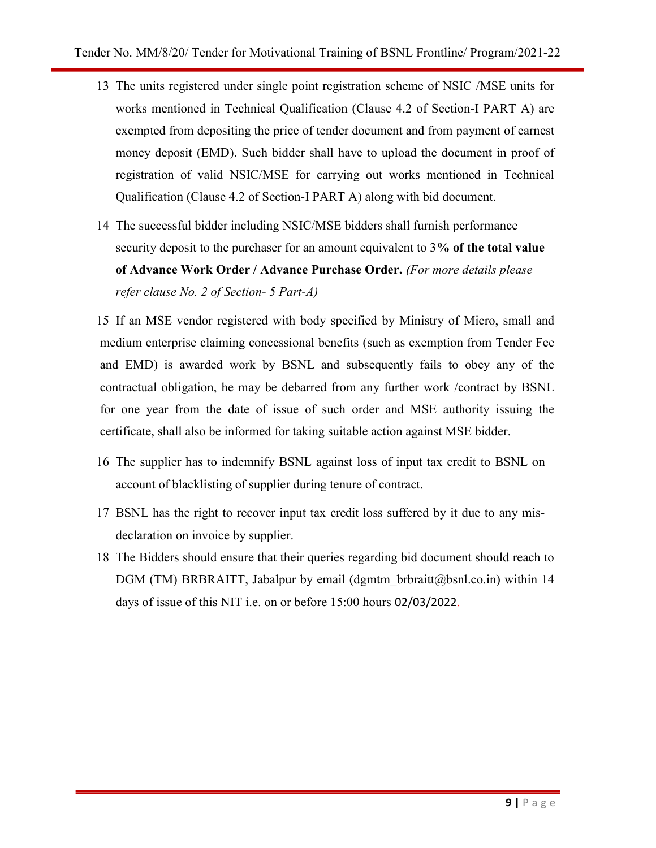- 13 The units registered under single point registration scheme of NSIC /MSE units for works mentioned in Technical Qualification (Clause 4.2 of Section-I PART A) are exempted from depositing the price of tender document and from payment of earnest money deposit (EMD). Such bidder shall have to upload the document in proof of registration of valid NSIC/MSE for carrying out works mentioned in Technical Qualification (Clause 4.2 of Section-I PART A) along with bid document.
- 14 The successful bidder including NSIC/MSE bidders shall furnish performance security deposit to the purchaser for an amount equivalent to 3% of the total value of Advance Work Order / Advance Purchase Order. (For more details please refer clause No. 2 of Section- 5 Part-A)

15 If an MSE vendor registered with body specified by Ministry of Micro, small and medium enterprise claiming concessional benefits (such as exemption from Tender Fee and EMD) is awarded work by BSNL and subsequently fails to obey any of the contractual obligation, he may be debarred from any further work /contract by BSNL for one year from the date of issue of such order and MSE authority issuing the certificate, shall also be informed for taking suitable action against MSE bidder.

- 16 The supplier has to indemnify BSNL against loss of input tax credit to BSNL on account of blacklisting of supplier during tenure of contract.
- 17 BSNL has the right to recover input tax credit loss suffered by it due to any misdeclaration on invoice by supplier.
- 18 The Bidders should ensure that their queries regarding bid document should reach to DGM (TM) BRBRAITT, Jabalpur by email (dgmtm\_brbraitt@bsnl.co.in) within 14 days of issue of this NIT i.e. on or before 15:00 hours 02/03/2022.